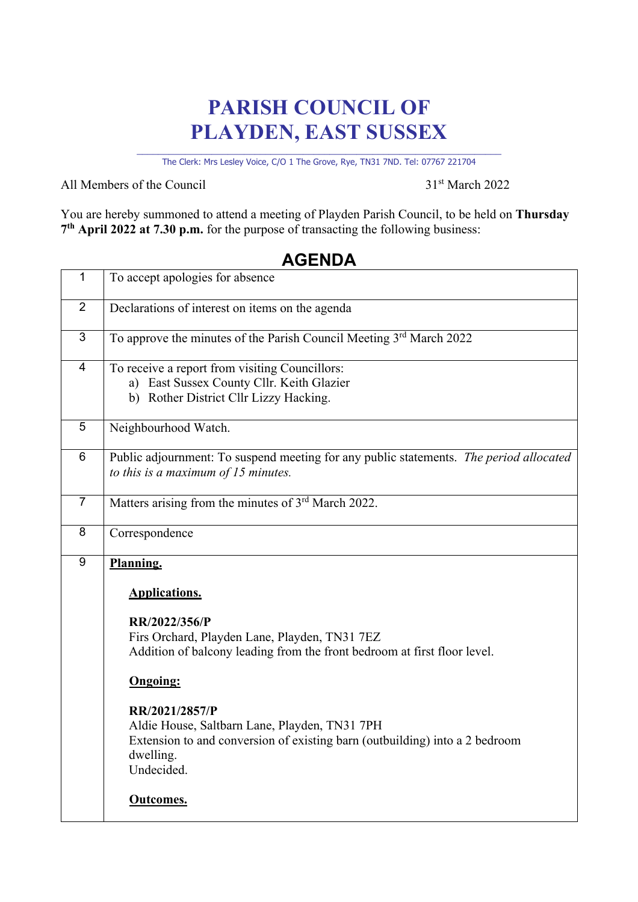# **PARISH COUNCIL OF PLAYDEN, EAST SUSSEX**

\_\_\_\_\_\_\_\_\_\_\_\_\_\_\_\_\_\_\_\_\_\_\_\_\_\_\_\_\_\_\_\_\_\_\_\_\_\_\_\_\_\_\_\_\_\_\_\_\_\_\_\_\_\_\_\_\_\_\_\_\_\_\_\_\_\_\_\_ The Clerk: Mrs Lesley Voice, C/O 1 The Grove, Rye, TN31 7ND. Tel: 07767 221704

All Members of the Council 31<sup>st</sup> March 2022

┑

You are hereby summoned to attend a meeting of Playden Parish Council, to be held on **Thursday 7th April 2022 at 7.30 p.m.** for the purpose of transacting the following business:

## **AGENDA**

| 1               | To accept apologies for absence                                                                                                                                           |
|-----------------|---------------------------------------------------------------------------------------------------------------------------------------------------------------------------|
| $\overline{2}$  | Declarations of interest on items on the agenda                                                                                                                           |
| 3               | To approve the minutes of the Parish Council Meeting 3rd March 2022                                                                                                       |
| $\overline{4}$  | To receive a report from visiting Councillors:<br>a) East Sussex County Cllr. Keith Glazier<br>b) Rother District Cllr Lizzy Hacking.                                     |
| 5               | Neighbourhood Watch.                                                                                                                                                      |
| $6\phantom{1}6$ | Public adjournment: To suspend meeting for any public statements. The period allocated<br>to this is a maximum of $15$ minutes.                                           |
| $\overline{7}$  | Matters arising from the minutes of 3rd March 2022.                                                                                                                       |
| 8               | Correspondence                                                                                                                                                            |
| 9               | Planning.<br><b>Applications.</b><br>RR/2022/356/P<br>Firs Orchard, Playden Lane, Playden, TN31 7EZ                                                                       |
|                 | Addition of balcony leading from the front bedroom at first floor level.<br><b>Ongoing:</b>                                                                               |
|                 | RR/2021/2857/P<br>Aldie House, Saltbarn Lane, Playden, TN31 7PH<br>Extension to and conversion of existing barn (outbuilding) into a 2 bedroom<br>dwelling.<br>Undecided. |
|                 | <b>Outcomes.</b>                                                                                                                                                          |